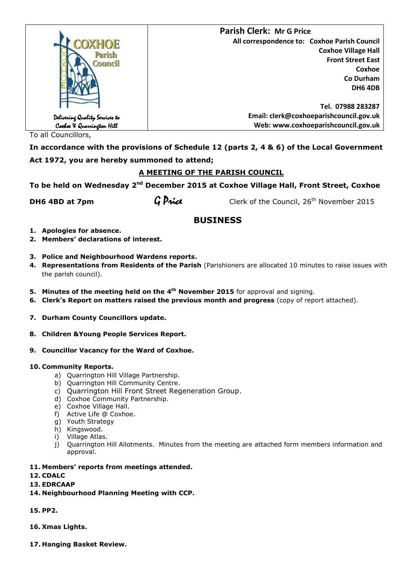|                                                             | <b>Parish Clerk: Mr G Price</b>              |
|-------------------------------------------------------------|----------------------------------------------|
| <b>COXHOE</b>                                               | All correspondence to: Coxhoe Parish Council |
| Parish                                                      | <b>Coxhoe Village Hall</b>                   |
| <b>Council</b>                                              | <b>Front Street East</b>                     |
|                                                             | Coxhoe                                       |
|                                                             | Co Durham                                    |
|                                                             | DH6 4DB                                      |
|                                                             |                                              |
|                                                             | Tel. 07988 283287                            |
|                                                             | Email: clerk@coxhoeparishcouncil.gov.uk      |
| Delivering Quality Services to<br>Coxboe X Quarrington Hill | Web: www.coxhoeparishcouncil.gov.uk          |

To all Councillors,

**In accordance with the provisions of Schedule 12 (parts 2, 4 & 6) of the Local Government Act 1972, you are hereby summoned to attend;**

## **A MEETING OF THE PARISH COUNCIL**

To be held on Wednesday 2<sup>nd</sup> December 2015 at Coxhoe Village Hall, Front Street, Coxhoe

**DH6 4BD at 7pm** G **Price** Clerk of the Council, 26<sup>th</sup> November 2015

# **BUSINESS**

- **1. Apologies for absence.**
- **2. Members' declarations of interest.**
- **3. Police and Neighbourhood Wardens reports.**
- **4. Representations from Residents of the Parish** (Parishioners are allocated 10 minutes to raise issues with the parish council).
- **5. Minutes of the meeting held on the 4<sup>th</sup> November 2015** for approval and signing.
- **6. Clerk's Report on matters raised the previous month and progress** (copy of report attached).
- **7. Durham County Councillors update.**
- **8. Children &Young People Services Report.**
- **9. Councillor Vacancy for the Ward of Coxhoe.**

#### **10. Community Reports.**

- a) Ouarrington Hill Village Partnership.
- b) Quarrington Hill Community Centre.
- c) Quarrington Hill Front Street Regeneration Group.
- d) Coxhoe Community Partnership.
- e) Coxhoe Village Hall.
- f) Active Life @ Coxhoe.
- g) Youth Strategy
- h) Kingswood.
- i) Village Atlas.
- j) Quarrington Hill Allotments. Minutes from the meeting are attached form members information and approval.
- **11. Members' reports from meetings attended.**
- **12. CDALC**
- **13. EDRCAAP**
- **14. Neighbourhood Planning Meeting with CCP.**
- **15. PP2.**
- **16. Xmas Lights.**
- **17. Hanging Basket Review.**